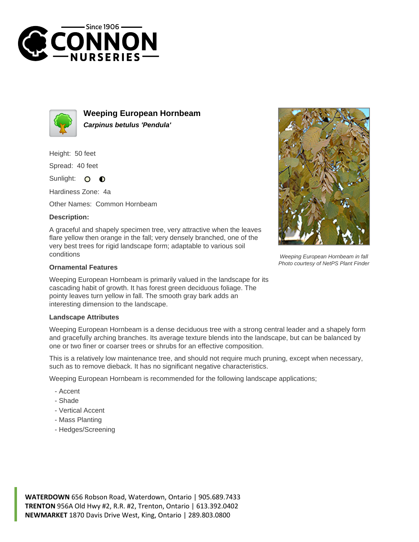



**Weeping European Hornbeam Carpinus betulus 'Pendula'**

Height: 50 feet

Spread: 40 feet

Sunlight: 0  $\bullet$ 

Hardiness Zone: 4a

Other Names: Common Hornbeam

## **Description:**

A graceful and shapely specimen tree, very attractive when the leaves flare yellow then orange in the fall; very densely branched, one of the very best trees for rigid landscape form; adaptable to various soil conditions

## **Ornamental Features**

Weeping European Hornbeam is primarily valued in the landscape for its cascading habit of growth. It has forest green deciduous foliage. The pointy leaves turn yellow in fall. The smooth gray bark adds an interesting dimension to the landscape.

## **Landscape Attributes**

Weeping European Hornbeam is a dense deciduous tree with a strong central leader and a shapely form and gracefully arching branches. Its average texture blends into the landscape, but can be balanced by one or two finer or coarser trees or shrubs for an effective composition.

This is a relatively low maintenance tree, and should not require much pruning, except when necessary, such as to remove dieback. It has no significant negative characteristics.

Weeping European Hornbeam is recommended for the following landscape applications;

- Accent
- Shade
- Vertical Accent
- Mass Planting
- Hedges/Screening



Weeping European Hornbeam in fall Photo courtesy of NetPS Plant Finder

**WATERDOWN** 656 Robson Road, Waterdown, Ontario | 905.689.7433 **TRENTON** 956A Old Hwy #2, R.R. #2, Trenton, Ontario | 613.392.0402 **NEWMARKET** 1870 Davis Drive West, King, Ontario | 289.803.0800